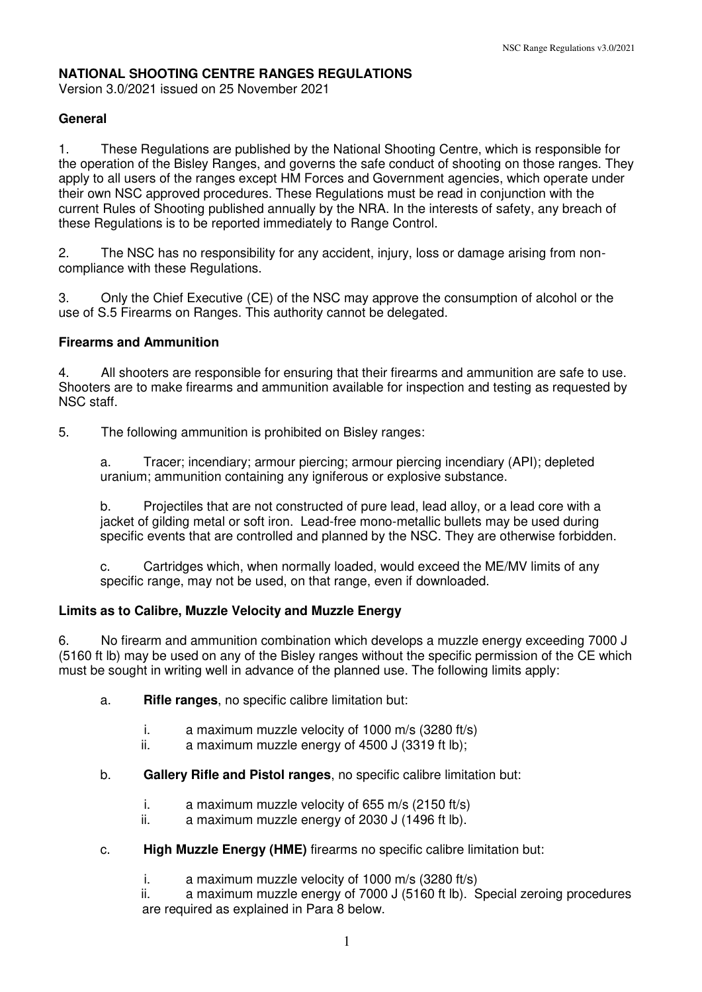# **NATIONAL SHOOTING CENTRE RANGES REGULATIONS**

Version 3.0/2021 issued on 25 November 2021

### **General**

1. These Regulations are published by the National Shooting Centre, which is responsible for the operation of the Bisley Ranges, and governs the safe conduct of shooting on those ranges. They apply to all users of the ranges except HM Forces and Government agencies, which operate under their own NSC approved procedures. These Regulations must be read in conjunction with the current Rules of Shooting published annually by the NRA. In the interests of safety, any breach of these Regulations is to be reported immediately to Range Control.

2. The NSC has no responsibility for any accident, injury, loss or damage arising from noncompliance with these Regulations.

3. Only the Chief Executive (CE) of the NSC may approve the consumption of alcohol or the use of S.5 Firearms on Ranges. This authority cannot be delegated.

### **Firearms and Ammunition**

4. All shooters are responsible for ensuring that their firearms and ammunition are safe to use. Shooters are to make firearms and ammunition available for inspection and testing as requested by NSC staff.

5. The following ammunition is prohibited on Bisley ranges:

a. Tracer; incendiary; armour piercing; armour piercing incendiary (API); depleted uranium; ammunition containing any igniferous or explosive substance.

b. Projectiles that are not constructed of pure lead, lead alloy, or a lead core with a jacket of gilding metal or soft iron. Lead-free mono-metallic bullets may be used during specific events that are controlled and planned by the NSC. They are otherwise forbidden.

c. Cartridges which, when normally loaded, would exceed the ME/MV limits of any specific range, may not be used, on that range, even if downloaded.

### **Limits as to Calibre, Muzzle Velocity and Muzzle Energy**

6. No firearm and ammunition combination which develops a muzzle energy exceeding 7000 J (5160 ft lb) may be used on any of the Bisley ranges without the specific permission of the CE which must be sought in writing well in advance of the planned use. The following limits apply:

- a. **Rifle ranges**, no specific calibre limitation but:
	- i. a maximum muzzle velocity of 1000 m/s (3280 ft/s)
	- ii. a maximum muzzle energy of 4500 J (3319 ft lb);
- b. **Gallery Rifle and Pistol ranges**, no specific calibre limitation but:
	- i. a maximum muzzle velocity of 655 m/s (2150 ft/s)
	- ii. a maximum muzzle energy of 2030 J (1496 ft lb).
- c. **High Muzzle Energy (HME)** firearms no specific calibre limitation but:
	- i. a maximum muzzle velocity of 1000 m/s (3280 ft/s)

ii. a maximum muzzle energy of 7000 J (5160 ft lb). Special zeroing procedures are required as explained in Para 8 below.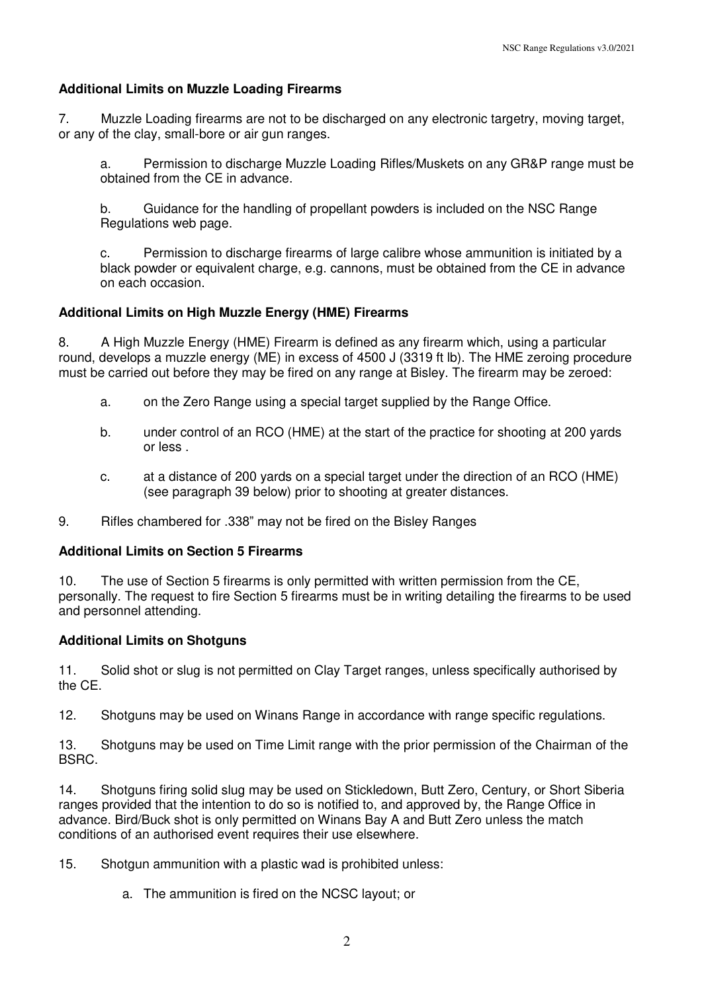### **Additional Limits on Muzzle Loading Firearms**

7. Muzzle Loading firearms are not to be discharged on any electronic targetry, moving target, or any of the clay, small-bore or air gun ranges.

a. Permission to discharge Muzzle Loading Rifles/Muskets on any GR&P range must be obtained from the CE in advance.

b. Guidance for the handling of propellant powders is included on the NSC Range Regulations web page.

c. Permission to discharge firearms of large calibre whose ammunition is initiated by a black powder or equivalent charge, e.g. cannons, must be obtained from the CE in advance on each occasion.

## **Additional Limits on High Muzzle Energy (HME) Firearms**

8. A High Muzzle Energy (HME) Firearm is defined as any firearm which, using a particular round, develops a muzzle energy (ME) in excess of 4500 J (3319 ft lb). The HME zeroing procedure must be carried out before they may be fired on any range at Bisley. The firearm may be zeroed:

- a. on the Zero Range using a special target supplied by the Range Office.
- b. under control of an RCO (HME) at the start of the practice for shooting at 200 yards or less .
- c. at a distance of 200 yards on a special target under the direction of an RCO (HME) (see paragraph 39 below) prior to shooting at greater distances.
- 9. Rifles chambered for .338" may not be fired on the Bisley Ranges

### **Additional Limits on Section 5 Firearms**

10. The use of Section 5 firearms is only permitted with written permission from the CE, personally. The request to fire Section 5 firearms must be in writing detailing the firearms to be used and personnel attending.

### **Additional Limits on Shotguns**

11. Solid shot or slug is not permitted on Clay Target ranges, unless specifically authorised by the CE.

12. Shotguns may be used on Winans Range in accordance with range specific regulations.

13. Shotguns may be used on Time Limit range with the prior permission of the Chairman of the BSRC.

14. Shotguns firing solid slug may be used on Stickledown, Butt Zero, Century, or Short Siberia ranges provided that the intention to do so is notified to, and approved by, the Range Office in advance. Bird/Buck shot is only permitted on Winans Bay A and Butt Zero unless the match conditions of an authorised event requires their use elsewhere.

15. Shotgun ammunition with a plastic wad is prohibited unless:

a. The ammunition is fired on the NCSC layout; or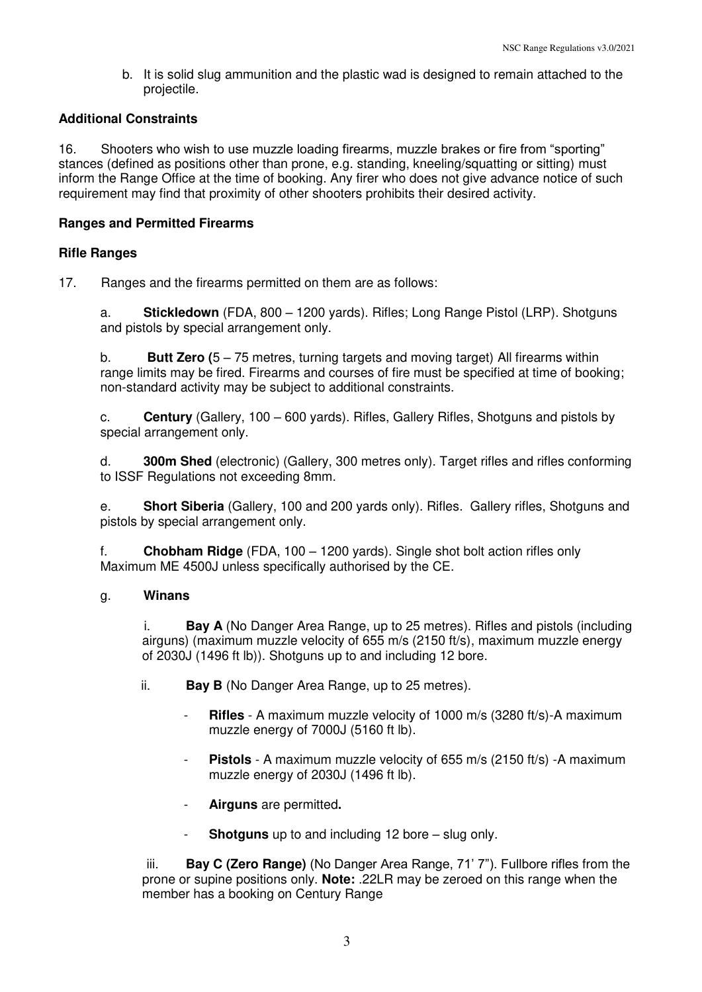b. It is solid slug ammunition and the plastic wad is designed to remain attached to the projectile.

## **Additional Constraints**

16. Shooters who wish to use muzzle loading firearms, muzzle brakes or fire from "sporting" stances (defined as positions other than prone, e.g. standing, kneeling/squatting or sitting) must inform the Range Office at the time of booking. Any firer who does not give advance notice of such requirement may find that proximity of other shooters prohibits their desired activity.

## **Ranges and Permitted Firearms**

### **Rifle Ranges**

17. Ranges and the firearms permitted on them are as follows:

a. **Stickledown** (FDA, 800 – 1200 yards). Rifles; Long Range Pistol (LRP). Shotguns and pistols by special arrangement only.

b. **Butt Zero (**5 – 75 metres, turning targets and moving target) All firearms within range limits may be fired. Firearms and courses of fire must be specified at time of booking; non-standard activity may be subject to additional constraints.

c. **Century** (Gallery, 100 – 600 yards). Rifles, Gallery Rifles, Shotguns and pistols by special arrangement only.

d. **300m Shed** (electronic) (Gallery, 300 metres only). Target rifles and rifles conforming to ISSF Regulations not exceeding 8mm.

e. **Short Siberia** (Gallery, 100 and 200 yards only). Rifles. Gallery rifles, Shotguns and pistols by special arrangement only.

f. **Chobham Ridge** (FDA, 100 – 1200 yards). Single shot bolt action rifles only Maximum ME 4500J unless specifically authorised by the CE.

### g. **Winans**

i. **Bay A** (No Danger Area Range, up to 25 metres). Rifles and pistols (including airguns) (maximum muzzle velocity of 655 m/s (2150 ft/s), maximum muzzle energy of 2030J (1496 ft lb)). Shotguns up to and including 12 bore.

ii. **Bay B** (No Danger Area Range, up to 25 metres).

- **Rifles** A maximum muzzle velocity of 1000 m/s (3280 ft/s)-A maximum muzzle energy of 7000J (5160 ft lb).
- **Pistols** A maximum muzzle velocity of 655 m/s (2150 ft/s) A maximum muzzle energy of 2030J (1496 ft lb).
- **Airguns** are permitted**.**
- **Shotguns** up to and including 12 bore slug only.

iii. **Bay C (Zero Range)** (No Danger Area Range, 71' 7"). Fullbore rifles from the prone or supine positions only. **Note:** .22LR may be zeroed on this range when the member has a booking on Century Range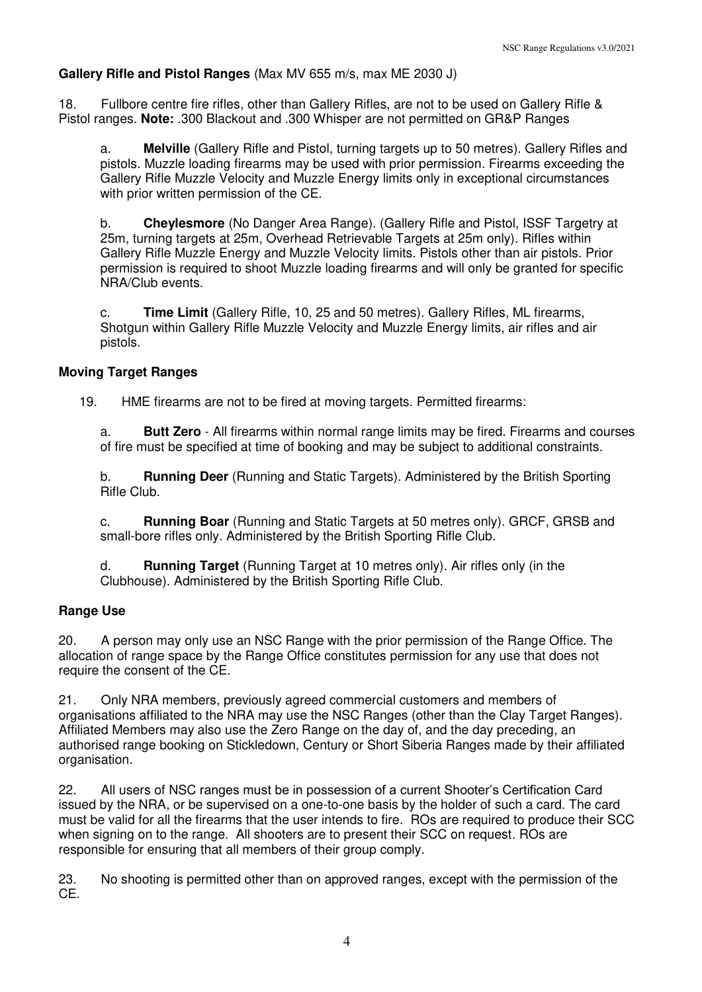#### **Gallery Rifle and Pistol Ranges** (Max MV 655 m/s, max ME 2030 J)

18. Fullbore centre fire rifles, other than Gallery Rifles, are not to be used on Gallery Rifle & Pistol ranges. **Note:** .300 Blackout and .300 Whisper are not permitted on GR&P Ranges

a. **Melville** (Gallery Rifle and Pistol, turning targets up to 50 metres). Gallery Rifles and pistols. Muzzle loading firearms may be used with prior permission. Firearms exceeding the Gallery Rifle Muzzle Velocity and Muzzle Energy limits only in exceptional circumstances with prior written permission of the CE.

b. **Cheylesmore** (No Danger Area Range). (Gallery Rifle and Pistol, ISSF Targetry at 25m, turning targets at 25m, Overhead Retrievable Targets at 25m only). Rifles within Gallery Rifle Muzzle Energy and Muzzle Velocity limits. Pistols other than air pistols. Prior permission is required to shoot Muzzle loading firearms and will only be granted for specific NRA/Club events.

c. **Time Limit** (Gallery Rifle, 10, 25 and 50 metres). Gallery Rifles, ML firearms, Shotgun within Gallery Rifle Muzzle Velocity and Muzzle Energy limits, air rifles and air pistols.

#### **Moving Target Ranges**

19. HME firearms are not to be fired at moving targets. Permitted firearms:

a. **Butt Zero** - All firearms within normal range limits may be fired. Firearms and courses of fire must be specified at time of booking and may be subject to additional constraints.

b. **Running Deer** (Running and Static Targets). Administered by the British Sporting Rifle Club.

c. **Running Boar** (Running and Static Targets at 50 metres only). GRCF, GRSB and small-bore rifles only. Administered by the British Sporting Rifle Club.

d. **Running Target** (Running Target at 10 metres only). Air rifles only (in the Clubhouse). Administered by the British Sporting Rifle Club.

#### **Range Use**

20. A person may only use an NSC Range with the prior permission of the Range Office. The allocation of range space by the Range Office constitutes permission for any use that does not require the consent of the CE.

21. Only NRA members, previously agreed commercial customers and members of organisations affiliated to the NRA may use the NSC Ranges (other than the Clay Target Ranges). Affiliated Members may also use the Zero Range on the day of, and the day preceding, an authorised range booking on Stickledown, Century or Short Siberia Ranges made by their affiliated organisation.

22. All users of NSC ranges must be in possession of a current Shooter's Certification Card issued by the NRA, or be supervised on a one-to-one basis by the holder of such a card. The card must be valid for all the firearms that the user intends to fire. ROs are required to produce their SCC when signing on to the range. All shooters are to present their SCC on request. ROs are responsible for ensuring that all members of their group comply.

23. No shooting is permitted other than on approved ranges, except with the permission of the CE.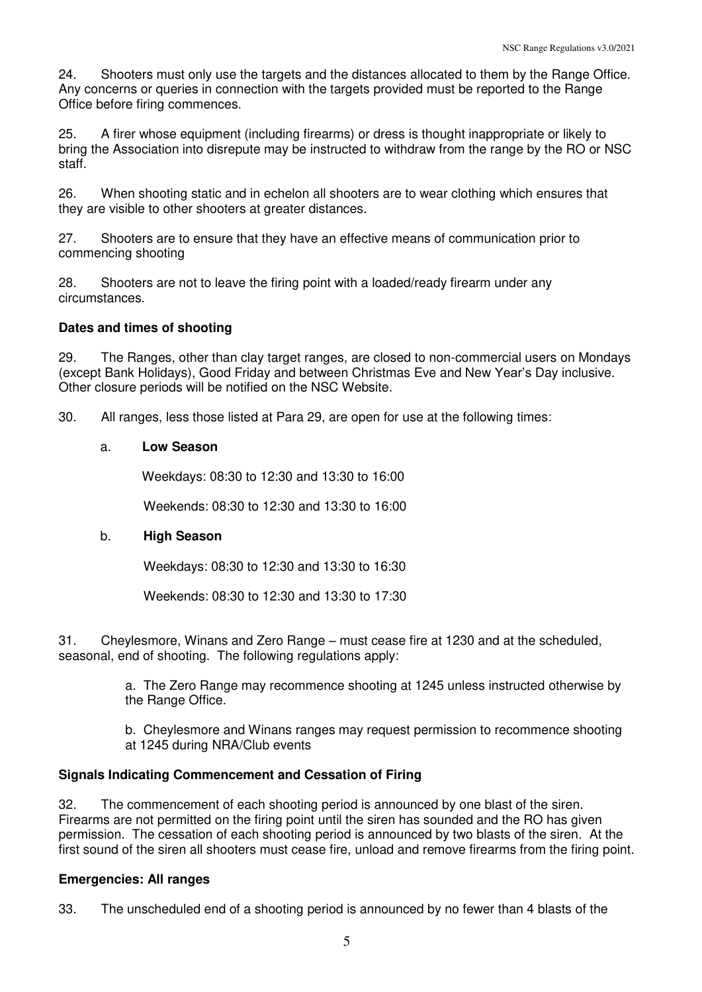24. Shooters must only use the targets and the distances allocated to them by the Range Office. Any concerns or queries in connection with the targets provided must be reported to the Range Office before firing commences.

25. A firer whose equipment (including firearms) or dress is thought inappropriate or likely to bring the Association into disrepute may be instructed to withdraw from the range by the RO or NSC staff.

26. When shooting static and in echelon all shooters are to wear clothing which ensures that they are visible to other shooters at greater distances.

27. Shooters are to ensure that they have an effective means of communication prior to commencing shooting

28. Shooters are not to leave the firing point with a loaded/ready firearm under any circumstances.

### **Dates and times of shooting**

29. The Ranges, other than clay target ranges, are closed to non-commercial users on Mondays (except Bank Holidays), Good Friday and between Christmas Eve and New Year's Day inclusive. Other closure periods will be notified on the NSC Website.

30. All ranges, less those listed at Para 29, are open for use at the following times:

## a. **Low Season**

Weekdays: 08:30 to 12:30 and 13:30 to 16:00

Weekends: 08:30 to 12:30 and 13:30 to 16:00

# b. **High Season**

Weekdays: 08:30 to 12:30 and 13:30 to 16:30

Weekends: 08:30 to 12:30 and 13:30 to 17:30

31. Cheylesmore, Winans and Zero Range – must cease fire at 1230 and at the scheduled, seasonal, end of shooting. The following regulations apply:

> a. The Zero Range may recommence shooting at 1245 unless instructed otherwise by the Range Office.

> b. Cheylesmore and Winans ranges may request permission to recommence shooting at 1245 during NRA/Club events

# **Signals Indicating Commencement and Cessation of Firing**

32. The commencement of each shooting period is announced by one blast of the siren. Firearms are not permitted on the firing point until the siren has sounded and the RO has given permission. The cessation of each shooting period is announced by two blasts of the siren. At the first sound of the siren all shooters must cease fire, unload and remove firearms from the firing point.

# **Emergencies: All ranges**

33. The unscheduled end of a shooting period is announced by no fewer than 4 blasts of the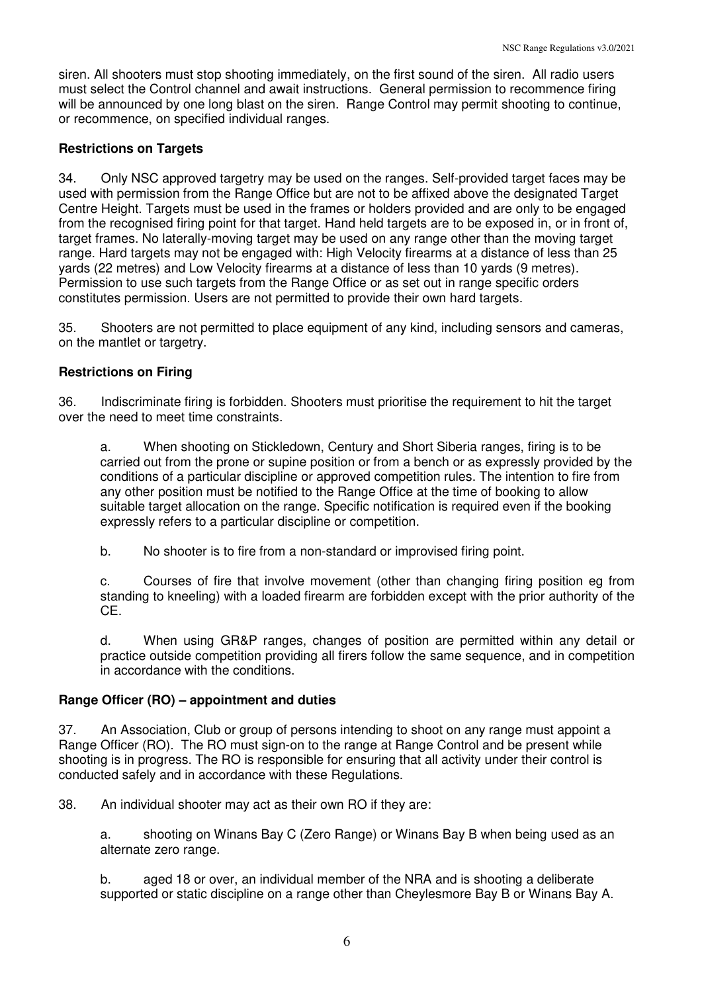siren. All shooters must stop shooting immediately, on the first sound of the siren. All radio users must select the Control channel and await instructions. General permission to recommence firing will be announced by one long blast on the siren. Range Control may permit shooting to continue, or recommence, on specified individual ranges.

# **Restrictions on Targets**

34. Only NSC approved targetry may be used on the ranges. Self-provided target faces may be used with permission from the Range Office but are not to be affixed above the designated Target Centre Height. Targets must be used in the frames or holders provided and are only to be engaged from the recognised firing point for that target. Hand held targets are to be exposed in, or in front of, target frames. No laterally-moving target may be used on any range other than the moving target range. Hard targets may not be engaged with: High Velocity firearms at a distance of less than 25 yards (22 metres) and Low Velocity firearms at a distance of less than 10 yards (9 metres). Permission to use such targets from the Range Office or as set out in range specific orders constitutes permission. Users are not permitted to provide their own hard targets.

35. Shooters are not permitted to place equipment of any kind, including sensors and cameras, on the mantlet or targetry.

# **Restrictions on Firing**

36. Indiscriminate firing is forbidden. Shooters must prioritise the requirement to hit the target over the need to meet time constraints.

a. When shooting on Stickledown, Century and Short Siberia ranges, firing is to be carried out from the prone or supine position or from a bench or as expressly provided by the conditions of a particular discipline or approved competition rules. The intention to fire from any other position must be notified to the Range Office at the time of booking to allow suitable target allocation on the range. Specific notification is required even if the booking expressly refers to a particular discipline or competition.

b. No shooter is to fire from a non-standard or improvised firing point.

c. Courses of fire that involve movement (other than changing firing position eg from standing to kneeling) with a loaded firearm are forbidden except with the prior authority of the CE.

d. When using GR&P ranges, changes of position are permitted within any detail or practice outside competition providing all firers follow the same sequence, and in competition in accordance with the conditions.

# **Range Officer (RO) – appointment and duties**

37. An Association, Club or group of persons intending to shoot on any range must appoint a Range Officer (RO). The RO must sign-on to the range at Range Control and be present while shooting is in progress. The RO is responsible for ensuring that all activity under their control is conducted safely and in accordance with these Regulations.

38. An individual shooter may act as their own RO if they are:

a. shooting on Winans Bay C (Zero Range) or Winans Bay B when being used as an alternate zero range.

b. aged 18 or over, an individual member of the NRA and is shooting a deliberate supported or static discipline on a range other than Cheylesmore Bay B or Winans Bay A.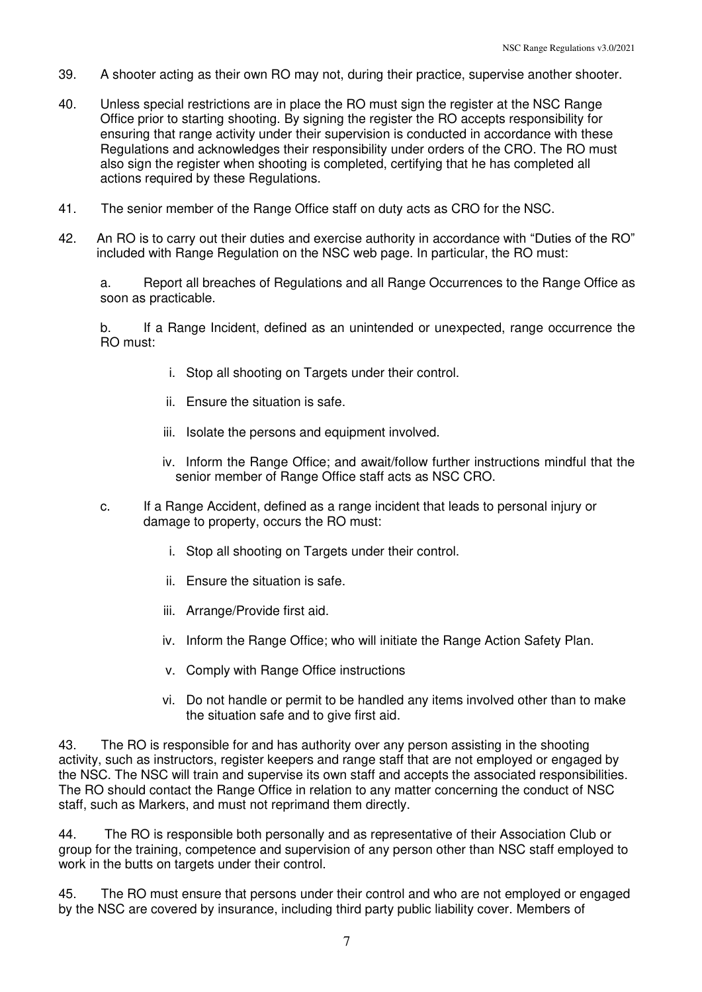- 39. A shooter acting as their own RO may not, during their practice, supervise another shooter.
- 40. Unless special restrictions are in place the RO must sign the register at the NSC Range Office prior to starting shooting. By signing the register the RO accepts responsibility for ensuring that range activity under their supervision is conducted in accordance with these Regulations and acknowledges their responsibility under orders of the CRO. The RO must also sign the register when shooting is completed, certifying that he has completed all actions required by these Regulations.
- 41. The senior member of the Range Office staff on duty acts as CRO for the NSC.
- 42. An RO is to carry out their duties and exercise authority in accordance with "Duties of the RO" included with Range Regulation on the NSC web page. In particular, the RO must:

a. Report all breaches of Regulations and all Range Occurrences to the Range Office as soon as practicable.

b. If a Range Incident, defined as an unintended or unexpected, range occurrence the RO must:

- i. Stop all shooting on Targets under their control.
- ii. Ensure the situation is safe.
- iii. Isolate the persons and equipment involved.
- iv. Inform the Range Office; and await/follow further instructions mindful that the senior member of Range Office staff acts as NSC CRO.
- c. If a Range Accident, defined as a range incident that leads to personal injury or damage to property, occurs the RO must:
	- i. Stop all shooting on Targets under their control.
	- ii. Ensure the situation is safe.
	- iii. Arrange/Provide first aid.
	- iv. Inform the Range Office; who will initiate the Range Action Safety Plan.
	- v. Comply with Range Office instructions
	- vi. Do not handle or permit to be handled any items involved other than to make the situation safe and to give first aid.

43. The RO is responsible for and has authority over any person assisting in the shooting activity, such as instructors, register keepers and range staff that are not employed or engaged by the NSC. The NSC will train and supervise its own staff and accepts the associated responsibilities. The RO should contact the Range Office in relation to any matter concerning the conduct of NSC staff, such as Markers, and must not reprimand them directly.

44. The RO is responsible both personally and as representative of their Association Club or group for the training, competence and supervision of any person other than NSC staff employed to work in the butts on targets under their control.

45. The RO must ensure that persons under their control and who are not employed or engaged by the NSC are covered by insurance, including third party public liability cover. Members of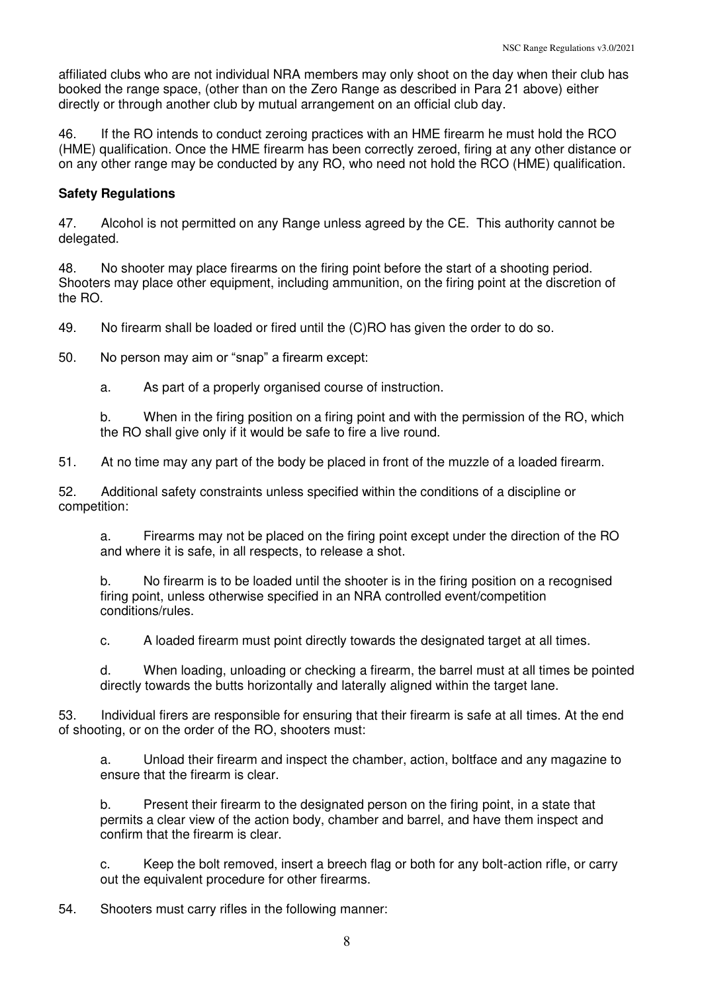affiliated clubs who are not individual NRA members may only shoot on the day when their club has booked the range space, (other than on the Zero Range as described in Para 21 above) either directly or through another club by mutual arrangement on an official club day.

46. If the RO intends to conduct zeroing practices with an HME firearm he must hold the RCO (HME) qualification. Once the HME firearm has been correctly zeroed, firing at any other distance or on any other range may be conducted by any RO, who need not hold the RCO (HME) qualification.

#### **Safety Regulations**

47. Alcohol is not permitted on any Range unless agreed by the CE. This authority cannot be delegated.

48. No shooter may place firearms on the firing point before the start of a shooting period. Shooters may place other equipment, including ammunition, on the firing point at the discretion of the RO.

49. No firearm shall be loaded or fired until the (C)RO has given the order to do so.

50. No person may aim or "snap" a firearm except:

a. As part of a properly organised course of instruction.

b. When in the firing position on a firing point and with the permission of the RO, which the RO shall give only if it would be safe to fire a live round.

51. At no time may any part of the body be placed in front of the muzzle of a loaded firearm.

52. Additional safety constraints unless specified within the conditions of a discipline or competition:

a. Firearms may not be placed on the firing point except under the direction of the RO and where it is safe, in all respects, to release a shot.

b. No firearm is to be loaded until the shooter is in the firing position on a recognised firing point, unless otherwise specified in an NRA controlled event/competition conditions/rules.

c. A loaded firearm must point directly towards the designated target at all times.

d. When loading, unloading or checking a firearm, the barrel must at all times be pointed directly towards the butts horizontally and laterally aligned within the target lane.

53. Individual firers are responsible for ensuring that their firearm is safe at all times. At the end of shooting, or on the order of the RO, shooters must:

a. Unload their firearm and inspect the chamber, action, boltface and any magazine to ensure that the firearm is clear.

b. Present their firearm to the designated person on the firing point, in a state that permits a clear view of the action body, chamber and barrel, and have them inspect and confirm that the firearm is clear.

c. Keep the bolt removed, insert a breech flag or both for any bolt-action rifle, or carry out the equivalent procedure for other firearms.

54. Shooters must carry rifles in the following manner: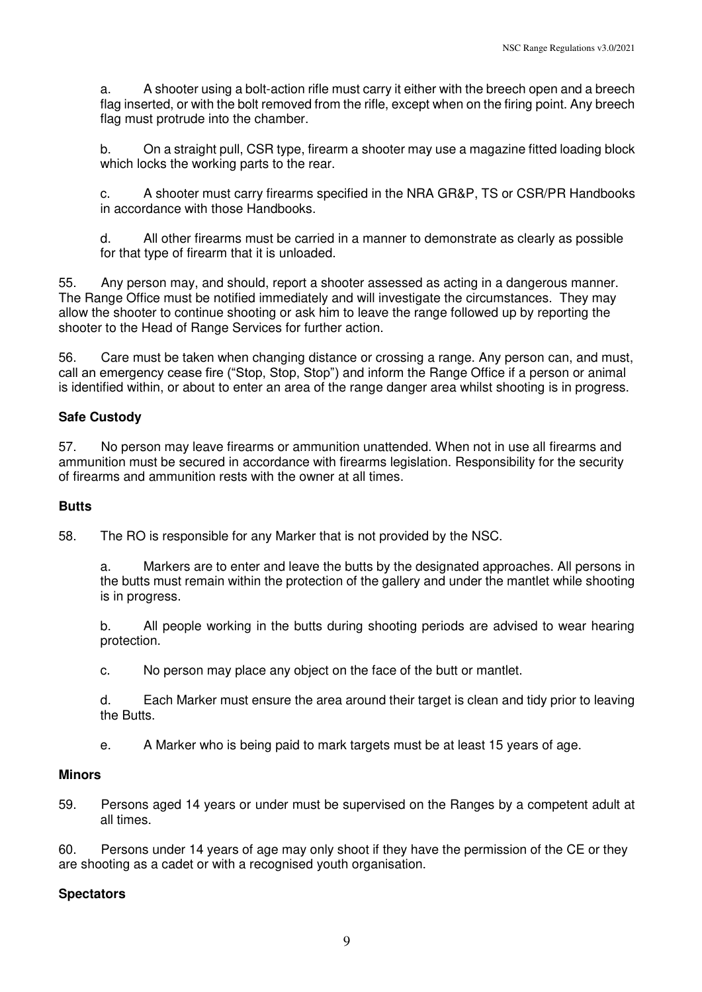a. A shooter using a bolt-action rifle must carry it either with the breech open and a breech flag inserted, or with the bolt removed from the rifle, except when on the firing point. Any breech flag must protrude into the chamber.

b. On a straight pull, CSR type, firearm a shooter may use a magazine fitted loading block which locks the working parts to the rear.

c. A shooter must carry firearms specified in the NRA GR&P, TS or CSR/PR Handbooks in accordance with those Handbooks.

d. All other firearms must be carried in a manner to demonstrate as clearly as possible for that type of firearm that it is unloaded.

55. Any person may, and should, report a shooter assessed as acting in a dangerous manner. The Range Office must be notified immediately and will investigate the circumstances. They may allow the shooter to continue shooting or ask him to leave the range followed up by reporting the shooter to the Head of Range Services for further action.

56. Care must be taken when changing distance or crossing a range. Any person can, and must, call an emergency cease fire ("Stop, Stop, Stop") and inform the Range Office if a person or animal is identified within, or about to enter an area of the range danger area whilst shooting is in progress.

### **Safe Custody**

57. No person may leave firearms or ammunition unattended. When not in use all firearms and ammunition must be secured in accordance with firearms legislation. Responsibility for the security of firearms and ammunition rests with the owner at all times.

#### **Butts**

58. The RO is responsible for any Marker that is not provided by the NSC.

a. Markers are to enter and leave the butts by the designated approaches. All persons in the butts must remain within the protection of the gallery and under the mantlet while shooting is in progress.

b. All people working in the butts during shooting periods are advised to wear hearing protection.

c. No person may place any object on the face of the butt or mantlet.

d. Each Marker must ensure the area around their target is clean and tidy prior to leaving the Butts.

e. A Marker who is being paid to mark targets must be at least 15 years of age.

#### **Minors**

59. Persons aged 14 years or under must be supervised on the Ranges by a competent adult at all times.

60. Persons under 14 years of age may only shoot if they have the permission of the CE or they are shooting as a cadet or with a recognised youth organisation.

### **Spectators**